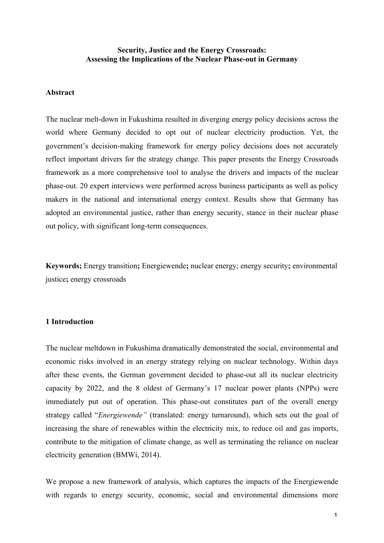## **Security, Justice and the Energy Crossroads: Assessing the Implications of the Nuclear Phase-out in Germany**

#### **Abstract**

The nuclear melt-down in Fukushima resulted in diverging energy policy decisions across the world where Germany decided to opt out of nuclear electricity production. Yet, the government's decision-making framework for energy policy decisions does not accurately reflect important drivers for the strategy change. This paper presents the Energy Crossroads framework as a more comprehensive tool to analyse the drivers and impacts of the nuclear phase-out. 20 expert interviews were performed across business participants as well as policy makers in the national and international energy context. Results show that Germany has adopted an environmental justice, rather than energy security, stance in their nuclear phase out policy, with significant long-term consequences.

**Keywords;** Energy transition**;** Energiewende**;** nuclear energy; energy security**;** environmental justice**;** energy crossroads

## **1 Introduction**

The nuclear meltdown in Fukushima dramatically demonstrated the social, environmental and economic risks involved in an energy strategy relying on nuclear technology. Within days after these events, the German government decided to phase-out all its nuclear electricity capacity by 2022, and the 8 oldest of Germany's 17 nuclear power plants (NPPs) were immediately put out of operation. This phase-out constitutes part of the overall energy strategy called "*Energiewende"* (translated: energy turnaround), which sets out the goal of increasing the share of renewables within the electricity mix, to reduce oil and gas imports, contribute to the mitigation of climate change, as well as terminating the reliance on nuclear electricity generation (BMWi, 2014).

We propose a new framework of analysis, which captures the impacts of the Energiewende with regards to energy security, economic, social and environmental dimensions more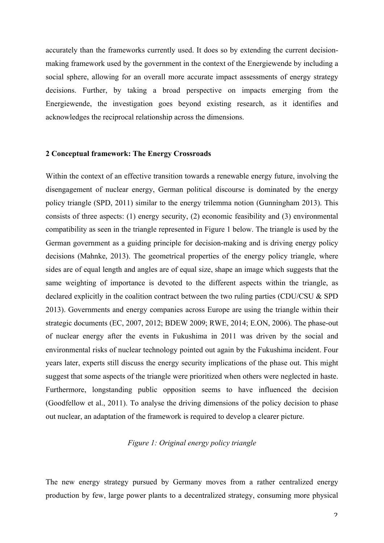accurately than the frameworks currently used. It does so by extending the current decisionmaking framework used by the government in the context of the Energiewende by including a social sphere, allowing for an overall more accurate impact assessments of energy strategy decisions. Further, by taking a broad perspective on impacts emerging from the Energiewende, the investigation goes beyond existing research, as it identifies and acknowledges the reciprocal relationship across the dimensions.

#### **2 Conceptual framework: The Energy Crossroads**

Within the context of an effective transition towards a renewable energy future, involving the disengagement of nuclear energy, German political discourse is dominated by the energy policy triangle (SPD, 2011) similar to the energy trilemma notion (Gunningham 2013). This consists of three aspects: (1) energy security, (2) economic feasibility and (3) environmental compatibility as seen in the triangle represented in Figure 1 below. The triangle is used by the German government as a guiding principle for decision-making and is driving energy policy decisions (Mahnke, 2013). The geometrical properties of the energy policy triangle, where sides are of equal length and angles are of equal size, shape an image which suggests that the same weighting of importance is devoted to the different aspects within the triangle, as declared explicitly in the coalition contract between the two ruling parties (CDU/CSU & SPD 2013). Governments and energy companies across Europe are using the triangle within their strategic documents (EC, 2007, 2012; BDEW 2009; RWE, 2014; E.ON, 2006). The phase-out of nuclear energy after the events in Fukushima in 2011 was driven by the social and environmental risks of nuclear technology pointed out again by the Fukushima incident. Four years later, experts still discuss the energy security implications of the phase out. This might suggest that some aspects of the triangle were prioritized when others were neglected in haste. Furthermore, longstanding public opposition seems to have influenced the decision (Goodfellow et al., 2011). To analyse the driving dimensions of the policy decision to phase out nuclear, an adaptation of the framework is required to develop a clearer picture.

## *Figure 1: Original energy policy triangle*

The new energy strategy pursued by Germany moves from a rather centralized energy production by few, large power plants to a decentralized strategy, consuming more physical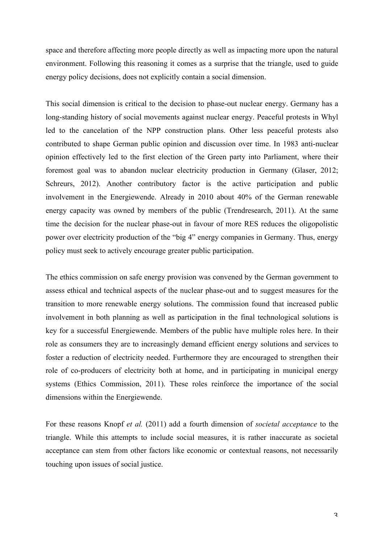space and therefore affecting more people directly as well as impacting more upon the natural environment. Following this reasoning it comes as a surprise that the triangle, used to guide energy policy decisions, does not explicitly contain a social dimension.

This social dimension is critical to the decision to phase-out nuclear energy. Germany has a long-standing history of social movements against nuclear energy. Peaceful protests in Whyl led to the cancelation of the NPP construction plans. Other less peaceful protests also contributed to shape German public opinion and discussion over time. In 1983 anti-nuclear opinion effectively led to the first election of the Green party into Parliament, where their foremost goal was to abandon nuclear electricity production in Germany (Glaser, 2012; Schreurs, 2012). Another contributory factor is the active participation and public involvement in the Energiewende. Already in 2010 about 40% of the German renewable energy capacity was owned by members of the public (Trendresearch, 2011). At the same time the decision for the nuclear phase-out in favour of more RES reduces the oligopolistic power over electricity production of the "big 4" energy companies in Germany. Thus, energy policy must seek to actively encourage greater public participation.

The ethics commission on safe energy provision was convened by the German government to assess ethical and technical aspects of the nuclear phase-out and to suggest measures for the transition to more renewable energy solutions. The commission found that increased public involvement in both planning as well as participation in the final technological solutions is key for a successful Energiewende. Members of the public have multiple roles here. In their role as consumers they are to increasingly demand efficient energy solutions and services to foster a reduction of electricity needed. Furthermore they are encouraged to strengthen their role of co-producers of electricity both at home, and in participating in municipal energy systems (Ethics Commission, 2011). These roles reinforce the importance of the social dimensions within the Energiewende.

For these reasons Knopf *et al.* (2011) add a fourth dimension of *societal acceptance* to the triangle. While this attempts to include social measures, it is rather inaccurate as societal acceptance can stem from other factors like economic or contextual reasons, not necessarily touching upon issues of social justice.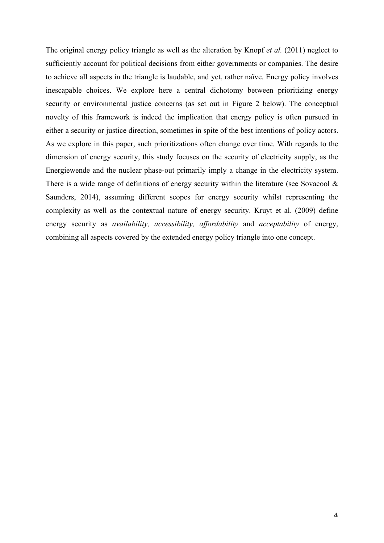The original energy policy triangle as well as the alteration by Knopf *et al.* (2011) neglect to sufficiently account for political decisions from either governments or companies. The desire to achieve all aspects in the triangle is laudable, and yet, rather naïve. Energy policy involves inescapable choices. We explore here a central dichotomy between prioritizing energy security or environmental justice concerns (as set out in Figure 2 below). The conceptual novelty of this framework is indeed the implication that energy policy is often pursued in either a security or justice direction, sometimes in spite of the best intentions of policy actors. As we explore in this paper, such prioritizations often change over time. With regards to the dimension of energy security, this study focuses on the security of electricity supply, as the Energiewende and the nuclear phase-out primarily imply a change in the electricity system. There is a wide range of definitions of energy security within the literature (see Sovacool  $\&$ Saunders, 2014), assuming different scopes for energy security whilst representing the complexity as well as the contextual nature of energy security. Kruyt et al. (2009) define energy security as *availability, accessibility, affordability* and *acceptability* of energy, combining all aspects covered by the extended energy policy triangle into one concept.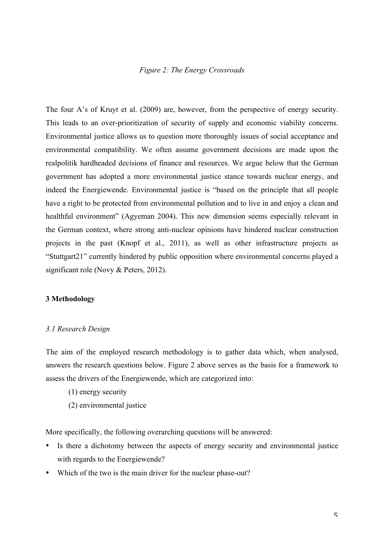#### *Figure 2: The Energy Crossroads*

The four A's of Kruyt et al. (2009) are, however, from the perspective of energy security. This leads to an over-prioritization of security of supply and economic viability concerns. Environmental justice allows us to question more thoroughly issues of social acceptance and environmental compatibility. We often assume government decisions are made upon the realpolitik hardheaded decisions of finance and resources. We argue below that the German government has adopted a more environmental justice stance towards nuclear energy, and indeed the Energiewende. Environmental justice is "based on the principle that all people have a right to be protected from environmental pollution and to live in and enjoy a clean and healthful environment" (Agyeman 2004). This new dimension seems especially relevant in the German context, where strong anti-nuclear opinions have hindered nuclear construction projects in the past (Knopf et al., 2011), as well as other infrastructure projects as "Stuttgart21" currently hindered by public opposition where environmental concerns played a significant role (Novy & Peters, 2012).

#### **3 Methodology**

### *3.1 Research Design*

The aim of the employed research methodology is to gather data which, when analysed, answers the research questions below. Figure 2 above serves as the basis for a framework to assess the drivers of the Energiewende, which are categorized into:

- (1) energy security
- (2) environmental justice

More specifically, the following overarching questions will be answered:

- Is there a dichotomy between the aspects of energy security and environmental justice with regards to the Energiewende?
- Which of the two is the main driver for the nuclear phase-out?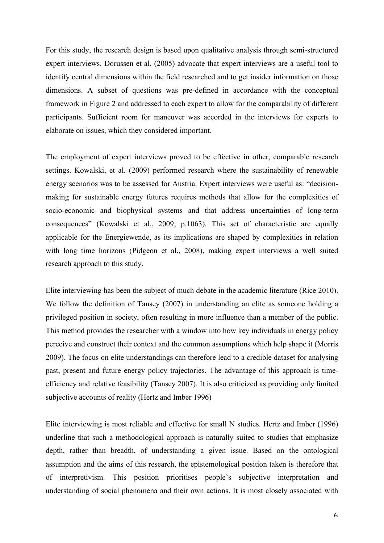For this study, the research design is based upon qualitative analysis through semi-structured expert interviews. Dorussen et al. (2005) advocate that expert interviews are a useful tool to identify central dimensions within the field researched and to get insider information on those dimensions. A subset of questions was pre-defined in accordance with the conceptual framework in Figure 2 and addressed to each expert to allow for the comparability of different participants. Sufficient room for maneuver was accorded in the interviews for experts to elaborate on issues, which they considered important.

The employment of expert interviews proved to be effective in other, comparable research settings. Kowalski, et al. (2009) performed research where the sustainability of renewable energy scenarios was to be assessed for Austria. Expert interviews were useful as: "decisionmaking for sustainable energy futures requires methods that allow for the complexities of socio-economic and biophysical systems and that address uncertainties of long-term consequences" (Kowalski et al., 2009; p.1063). This set of characteristic are equally applicable for the Energiewende, as its implications are shaped by complexities in relation with long time horizons (Pidgeon et al., 2008), making expert interviews a well suited research approach to this study.

Elite interviewing has been the subject of much debate in the academic literature (Rice 2010). We follow the definition of Tansey (2007) in understanding an elite as someone holding a privileged position in society, often resulting in more influence than a member of the public. This method provides the researcher with a window into how key individuals in energy policy perceive and construct their context and the common assumptions which help shape it (Morris 2009). The focus on elite understandings can therefore lead to a credible dataset for analysing past, present and future energy policy trajectories. The advantage of this approach is timeefficiency and relative feasibility (Tansey 2007). It is also criticized as providing only limited subjective accounts of reality (Hertz and Imber 1996)

Elite interviewing is most reliable and effective for small N studies. Hertz and Imber (1996) underline that such a methodological approach is naturally suited to studies that emphasize depth, rather than breadth, of understanding a given issue. Based on the ontological assumption and the aims of this research, the epistemological position taken is therefore that of interpretivism. This position prioritises people's subjective interpretation and understanding of social phenomena and their own actions. It is most closely associated with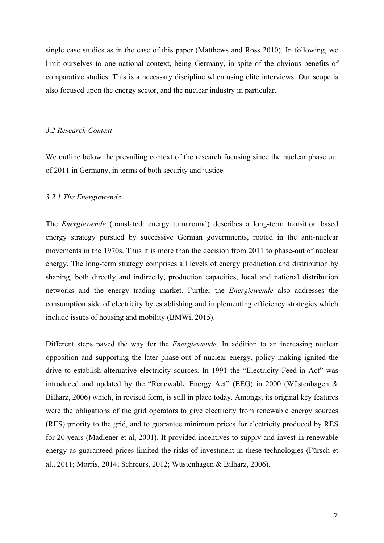single case studies as in the case of this paper (Matthews and Ross 2010). In following, we limit ourselves to one national context, being Germany, in spite of the obvious benefits of comparative studies. This is a necessary discipline when using elite interviews. Our scope is also focused upon the energy sector, and the nuclear industry in particular.

### *3.2 Research Context*

We outline below the prevailing context of the research focusing since the nuclear phase out of 2011 in Germany, in terms of both security and justice

#### *3.2.1 The Energiewende*

The *Energiewende* (translated: energy turnaround) describes a long-term transition based energy strategy pursued by successive German governments, rooted in the anti-nuclear movements in the 1970s. Thus it is more than the decision from 2011 to phase-out of nuclear energy. The long-term strategy comprises all levels of energy production and distribution by shaping, both directly and indirectly, production capacities, local and national distribution networks and the energy trading market. Further the *Energiewende* also addresses the consumption side of electricity by establishing and implementing efficiency strategies which include issues of housing and mobility (BMWi, 2015).

Different steps paved the way for the *Energiewende*. In addition to an increasing nuclear opposition and supporting the later phase-out of nuclear energy, policy making ignited the drive to establish alternative electricity sources. In 1991 the "Electricity Feed-in Act" was introduced and updated by the "Renewable Energy Act" (EEG) in 2000 (Wüstenhagen & Bilharz, 2006) which, in revised form, is still in place today. Amongst its original key features were the obligations of the grid operators to give electricity from renewable energy sources (RES) priority to the grid, and to guarantee minimum prices for electricity produced by RES for 20 years (Madlener et al, 2001). It provided incentives to supply and invest in renewable energy as guaranteed prices limited the risks of investment in these technologies (Fürsch et al., 2011; Morris, 2014; Schreurs, 2012; Wüstenhagen & Bilharz, 2006).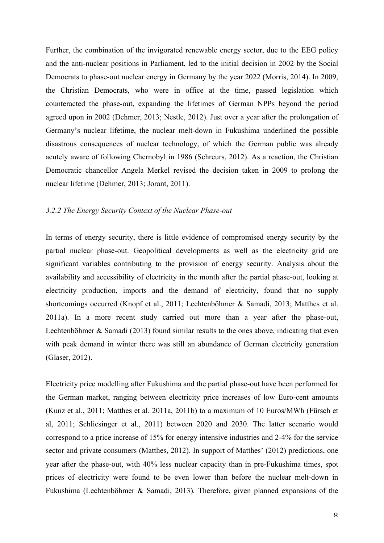Further, the combination of the invigorated renewable energy sector, due to the EEG policy and the anti-nuclear positions in Parliament, led to the initial decision in 2002 by the Social Democrats to phase-out nuclear energy in Germany by the year 2022 (Morris, 2014). In 2009, the Christian Democrats, who were in office at the time, passed legislation which counteracted the phase-out, expanding the lifetimes of German NPPs beyond the period agreed upon in 2002 (Dehmer, 2013; Nestle, 2012). Just over a year after the prolongation of Germany's nuclear lifetime, the nuclear melt-down in Fukushima underlined the possible disastrous consequences of nuclear technology, of which the German public was already acutely aware of following Chernobyl in 1986 (Schreurs, 2012). As a reaction, the Christian Democratic chancellor Angela Merkel revised the decision taken in 2009 to prolong the nuclear lifetime (Dehmer, 2013; Jorant, 2011).

## *3.2.2 The Energy Security Context of the Nuclear Phase-out*

In terms of energy security, there is little evidence of compromised energy security by the partial nuclear phase-out. Geopolitical developments as well as the electricity grid are significant variables contributing to the provision of energy security. Analysis about the availability and accessibility of electricity in the month after the partial phase-out, looking at electricity production, imports and the demand of electricity, found that no supply shortcomings occurred (Knopf et al., 2011; Lechtenböhmer & Samadi, 2013; Matthes et al. 2011a). In a more recent study carried out more than a year after the phase-out, Lechtenböhmer & Samadi (2013) found similar results to the ones above, indicating that even with peak demand in winter there was still an abundance of German electricity generation (Glaser, 2012).

Electricity price modelling after Fukushima and the partial phase-out have been performed for the German market, ranging between electricity price increases of low Euro-cent amounts (Kunz et al., 2011; Matthes et al. 2011a, 2011b) to a maximum of 10 Euros/MWh (Fürsch et al, 2011; Schliesinger et al., 2011) between 2020 and 2030. The latter scenario would correspond to a price increase of 15% for energy intensive industries and 2-4% for the service sector and private consumers (Matthes, 2012). In support of Matthes' (2012) predictions, one year after the phase-out, with 40% less nuclear capacity than in pre-Fukushima times, spot prices of electricity were found to be even lower than before the nuclear melt-down in Fukushima (Lechtenböhmer & Samadi, 2013)*.* Therefore, given planned expansions of the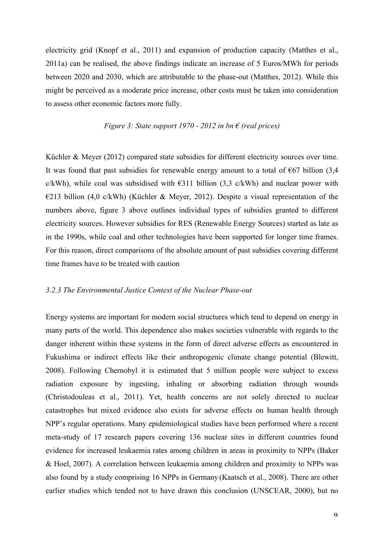electricity grid (Knopf et al., 2011) and expansion of production capacity (Matthes et al., 2011a) can be realised, the above findings indicate an increase of 5 Euros/MWh for periods between 2020 and 2030, which are attributable to the phase-out (Matthes, 2012). While this might be perceived as a moderate price increase, other costs must be taken into consideration to assess other economic factors more fully.

### *Figure* 3: *State support* 1970 *-* 2012 *in bn*  $\epsilon$  (*real prices*)

Küchler & Meyer (2012) compared state subsidies for different electricity sources over time. It was found that past subsidies for renewable energy amount to a total of  $\epsilon$ 67 billion (3,4) c/kWh), while coal was subsidised with  $\epsilon$ 311 billion (3,3 c/kWh) and nuclear power with  $\epsilon$ 213 billion (4,0 c/kWh) (Küchler & Meyer, 2012). Despite a visual representation of the numbers above, figure 3 above outlines individual types of subsidies granted to different electricity sources. However subsidies for RES (Renewable Energy Sources) started as late as in the 1990s, while coal and other technologies have been supported for longer time frames. For this reason, direct comparisons of the absolute amount of past subsidies covering different time frames have to be treated with caution

### *3.2.3 The Environmental Justice Context of the Nuclear Phase-out*

Energy systems are important for modern social structures which tend to depend on energy in many parts of the world. This dependence also makes societies vulnerable with regards to the danger inherent within these systems in the form of direct adverse effects as encountered in Fukushima or indirect effects like their anthropogenic climate change potential (Blewitt, 2008). Following Chernobyl it is estimated that 5 million people were subject to excess radiation exposure by ingesting, inhaling or absorbing radiation through wounds (Christodouleas et al., 2011). Yet, health concerns are not solely directed to nuclear catastrophes but mixed evidence also exists for adverse effects on human health through NPP's regular operations. Many epidemiological studies have been performed where a recent meta-study of 17 research papers covering 136 nuclear sites in different countries found evidence for increased leukaemia rates among children in areas in proximity to NPPs (Baker & Hoel, 2007). A correlation between leukaemia among children and proximity to NPPs was also found by a study comprising 16 NPPs in Germany (Kaatsch et al., 2008). There are other earlier studies which tended not to have drawn this conclusion (UNSCEAR, 2000), but no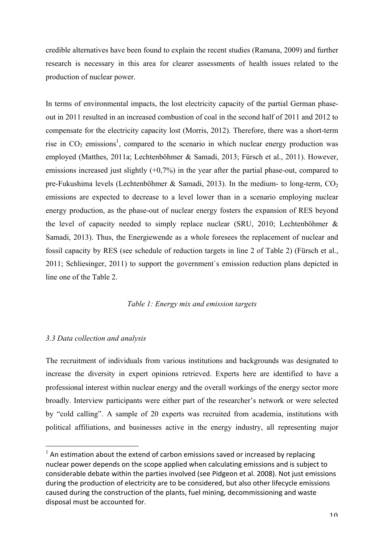credible alternatives have been found to explain the recent studies (Ramana, 2009) and further research is necessary in this area for clearer assessments of health issues related to the production of nuclear power.

In terms of environmental impacts, the lost electricity capacity of the partial German phaseout in 2011 resulted in an increased combustion of coal in the second half of 2011 and 2012 to compensate for the electricity capacity lost (Morris, 2012). Therefore, there was a short-term rise in  $CO_2$  emissions<sup>1</sup>, compared to the scenario in which nuclear energy production was employed (Matthes, 2011a; Lechtenböhmer & Samadi, 2013; Fürsch et al., 2011). However, emissions increased just slightly  $(+0,7%)$  in the year after the partial phase-out, compared to pre-Fukushima levels (Lechtenböhmer & Samadi, 2013). In the medium- to long-term,  $CO<sub>2</sub>$ emissions are expected to decrease to a level lower than in a scenario employing nuclear energy production, as the phase-out of nuclear energy fosters the expansion of RES beyond the level of capacity needed to simply replace nuclear (SRU, 2010; Lechtenböhmer & Samadi, 2013). Thus, the Energiewende as a whole foresees the replacement of nuclear and fossil capacity by RES (see schedule of reduction targets in line 2 of Table 2) (Fürsch et al., 2011; Schliesinger, 2011) to support the government`s emission reduction plans depicted in line one of the Table 2.

#### *Table 1: Energy mix and emission targets*

#### *3.3 Data collection and analysis*

 

The recruitment of individuals from various institutions and backgrounds was designated to increase the diversity in expert opinions retrieved. Experts here are identified to have a professional interest within nuclear energy and the overall workings of the energy sector more broadly. Interview participants were either part of the researcher's network or were selected by "cold calling". A sample of 20 experts was recruited from academia, institutions with political affiliations, and businesses active in the energy industry, all representing major

 $1$  An estimation about the extend of carbon emissions saved or increased by replacing nuclear power depends on the scope applied when calculating emissions and is subject to considerable debate within the parties involved (see Pidgeon et al. 2008). Not just emissions during the production of electricity are to be considered, but also other lifecycle emissions caused during the construction of the plants, fuel mining, decommissioning and waste disposal must be accounted for.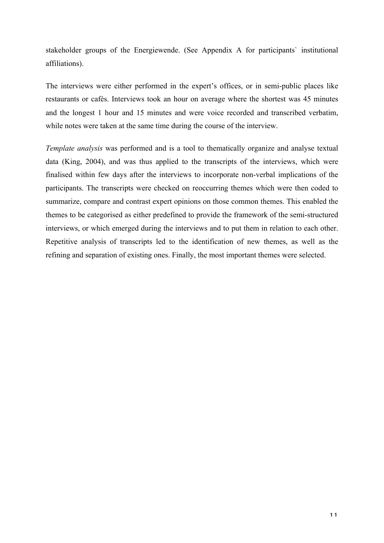stakeholder groups of the Energiewende. (See Appendix A for participants` institutional affiliations).

The interviews were either performed in the expert's offices, or in semi-public places like restaurants or cafés. Interviews took an hour on average where the shortest was 45 minutes and the longest 1 hour and 15 minutes and were voice recorded and transcribed verbatim, while notes were taken at the same time during the course of the interview.

*Template analysis* was performed and is a tool to thematically organize and analyse textual data (King, 2004), and was thus applied to the transcripts of the interviews, which were finalised within few days after the interviews to incorporate non-verbal implications of the participants. The transcripts were checked on reoccurring themes which were then coded to summarize, compare and contrast expert opinions on those common themes. This enabled the themes to be categorised as either predefined to provide the framework of the semi-structured interviews, or which emerged during the interviews and to put them in relation to each other. Repetitive analysis of transcripts led to the identification of new themes, as well as the refining and separation of existing ones. Finally, the most important themes were selected.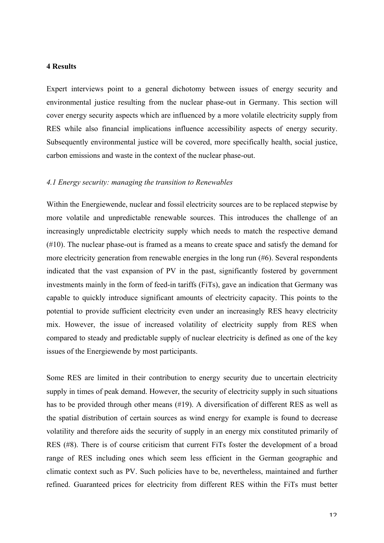### **4 Results**

Expert interviews point to a general dichotomy between issues of energy security and environmental justice resulting from the nuclear phase-out in Germany. This section will cover energy security aspects which are influenced by a more volatile electricity supply from RES while also financial implications influence accessibility aspects of energy security. Subsequently environmental justice will be covered, more specifically health, social justice, carbon emissions and waste in the context of the nuclear phase-out.

## *4.1 Energy security: managing the transition to Renewables*

Within the Energiewende, nuclear and fossil electricity sources are to be replaced stepwise by more volatile and unpredictable renewable sources. This introduces the challenge of an increasingly unpredictable electricity supply which needs to match the respective demand (#10). The nuclear phase-out is framed as a means to create space and satisfy the demand for more electricity generation from renewable energies in the long run (#6). Several respondents indicated that the vast expansion of PV in the past, significantly fostered by government investments mainly in the form of feed-in tariffs (FiTs), gave an indication that Germany was capable to quickly introduce significant amounts of electricity capacity. This points to the potential to provide sufficient electricity even under an increasingly RES heavy electricity mix. However, the issue of increased volatility of electricity supply from RES when compared to steady and predictable supply of nuclear electricity is defined as one of the key issues of the Energiewende by most participants.

Some RES are limited in their contribution to energy security due to uncertain electricity supply in times of peak demand. However, the security of electricity supply in such situations has to be provided through other means (#19). A diversification of different RES as well as the spatial distribution of certain sources as wind energy for example is found to decrease volatility and therefore aids the security of supply in an energy mix constituted primarily of RES (#8). There is of course criticism that current FiTs foster the development of a broad range of RES including ones which seem less efficient in the German geographic and climatic context such as PV. Such policies have to be, nevertheless, maintained and further refined. Guaranteed prices for electricity from different RES within the FiTs must better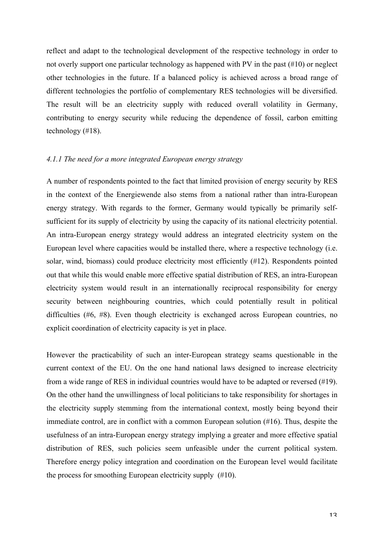reflect and adapt to the technological development of the respective technology in order to not overly support one particular technology as happened with PV in the past (#10) or neglect other technologies in the future. If a balanced policy is achieved across a broad range of different technologies the portfolio of complementary RES technologies will be diversified. The result will be an electricity supply with reduced overall volatility in Germany, contributing to energy security while reducing the dependence of fossil, carbon emitting technology (#18).

### *4.1.1 The need for a more integrated European energy strategy*

A number of respondents pointed to the fact that limited provision of energy security by RES in the context of the Energiewende also stems from a national rather than intra-European energy strategy. With regards to the former, Germany would typically be primarily selfsufficient for its supply of electricity by using the capacity of its national electricity potential. An intra-European energy strategy would address an integrated electricity system on the European level where capacities would be installed there, where a respective technology (i.e. solar, wind, biomass) could produce electricity most efficiently (#12). Respondents pointed out that while this would enable more effective spatial distribution of RES, an intra-European electricity system would result in an internationally reciprocal responsibility for energy security between neighbouring countries, which could potentially result in political difficulties (#6, #8). Even though electricity is exchanged across European countries, no explicit coordination of electricity capacity is yet in place.

However the practicability of such an inter-European strategy seams questionable in the current context of the EU. On the one hand national laws designed to increase electricity from a wide range of RES in individual countries would have to be adapted or reversed (#19). On the other hand the unwillingness of local politicians to take responsibility for shortages in the electricity supply stemming from the international context, mostly being beyond their immediate control, are in conflict with a common European solution (#16). Thus, despite the usefulness of an intra-European energy strategy implying a greater and more effective spatial distribution of RES, such policies seem unfeasible under the current political system. Therefore energy policy integration and coordination on the European level would facilitate the process for smoothing European electricity supply (#10).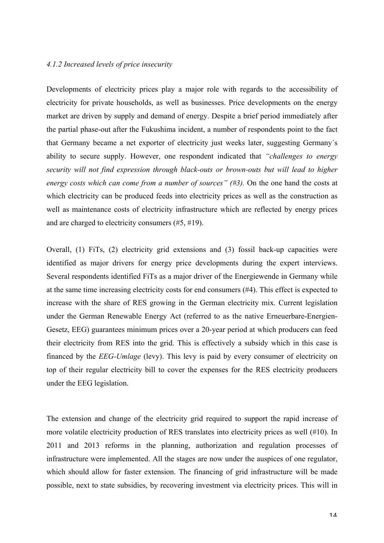### *4.1.2 Increased levels of price insecurity*

Developments of electricity prices play a major role with regards to the accessibility of electricity for private households, as well as businesses. Price developments on the energy market are driven by supply and demand of energy. Despite a brief period immediately after the partial phase-out after the Fukushima incident, a number of respondents point to the fact that Germany became a net exporter of electricity just weeks later, suggesting Germany´s ability to secure supply. However, one respondent indicated that *"challenges to energy security will not find expression through black-outs or brown-outs but will lead to higher energy costs which can come from a number of sources" (#3).* On the one hand the costs at which electricity can be produced feeds into electricity prices as well as the construction as well as maintenance costs of electricity infrastructure which are reflected by energy prices and are charged to electricity consumers (#5, #19).

Overall, (1) FiTs, (2) electricity grid extensions and (3) fossil back-up capacities were identified as major drivers for energy price developments during the expert interviews. Several respondents identified FiTs as a major driver of the Energiewende in Germany while at the same time increasing electricity costs for end consumers (#4). This effect is expected to increase with the share of RES growing in the German electricity mix. Current legislation under the German Renewable Energy Act (referred to as the native Erneuerbare-Energien-Gesetz, EEG) guarantees minimum prices over a 20-year period at which producers can feed their electricity from RES into the grid. This is effectively a subsidy which in this case is financed by the *EEG-Umlage* (levy). This levy is paid by every consumer of electricity on top of their regular electricity bill to cover the expenses for the RES electricity producers under the EEG legislation.

The extension and change of the electricity grid required to support the rapid increase of more volatile electricity production of RES translates into electricity prices as well (#10). In 2011 and 2013 reforms in the planning, authorization and regulation processes of infrastructure were implemented. All the stages are now under the auspices of one regulator, which should allow for faster extension. The financing of grid infrastructure will be made possible, next to state subsidies, by recovering investment via electricity prices. This will in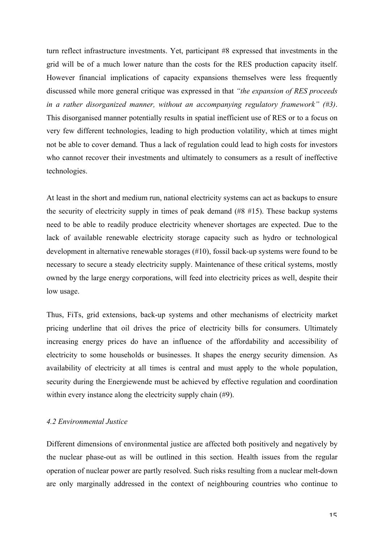turn reflect infrastructure investments. Yet, participant #8 expressed that investments in the grid will be of a much lower nature than the costs for the RES production capacity itself. However financial implications of capacity expansions themselves were less frequently discussed while more general critique was expressed in that *"the expansion of RES proceeds in a rather disorganized manner, without an accompanying regulatory framework" (#3)*. This disorganised manner potentially results in spatial inefficient use of RES or to a focus on very few different technologies, leading to high production volatility, which at times might not be able to cover demand. Thus a lack of regulation could lead to high costs for investors who cannot recover their investments and ultimately to consumers as a result of ineffective technologies.

At least in the short and medium run, national electricity systems can act as backups to ensure the security of electricity supply in times of peak demand  $(\#8 \#15)$ . These backup systems need to be able to readily produce electricity whenever shortages are expected. Due to the lack of available renewable electricity storage capacity such as hydro or technological development in alternative renewable storages (#10), fossil back-up systems were found to be necessary to secure a steady electricity supply. Maintenance of these critical systems, mostly owned by the large energy corporations, will feed into electricity prices as well, despite their low usage.

Thus, FiTs, grid extensions, back-up systems and other mechanisms of electricity market pricing underline that oil drives the price of electricity bills for consumers. Ultimately increasing energy prices do have an influence of the affordability and accessibility of electricity to some households or businesses. It shapes the energy security dimension. As availability of electricity at all times is central and must apply to the whole population, security during the Energiewende must be achieved by effective regulation and coordination within every instance along the electricity supply chain (#9).

## *4.2 Environmental Justice*

Different dimensions of environmental justice are affected both positively and negatively by the nuclear phase-out as will be outlined in this section. Health issues from the regular operation of nuclear power are partly resolved. Such risks resulting from a nuclear melt-down are only marginally addressed in the context of neighbouring countries who continue to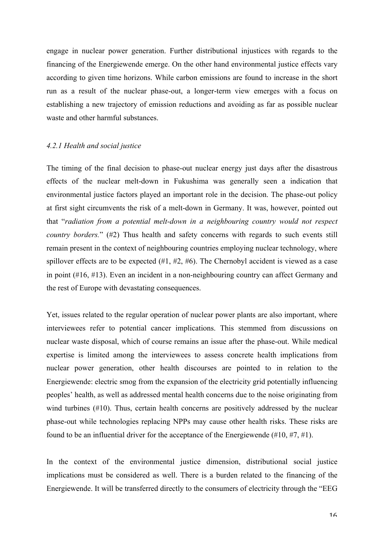engage in nuclear power generation. Further distributional injustices with regards to the financing of the Energiewende emerge. On the other hand environmental justice effects vary according to given time horizons. While carbon emissions are found to increase in the short run as a result of the nuclear phase-out, a longer-term view emerges with a focus on establishing a new trajectory of emission reductions and avoiding as far as possible nuclear waste and other harmful substances.

#### *4.2.1 Health and social justice*

The timing of the final decision to phase-out nuclear energy just days after the disastrous effects of the nuclear melt-down in Fukushima was generally seen a indication that environmental justice factors played an important role in the decision. The phase-out policy at first sight circumvents the risk of a melt-down in Germany. It was, however, pointed out that "*radiation from a potential melt-down in a neighbouring country would not respect country borders.*" (#2) Thus health and safety concerns with regards to such events still remain present in the context of neighbouring countries employing nuclear technology, where spillover effects are to be expected  $(\#1, \#2, \#6)$ . The Chernobyl accident is viewed as a case in point (#16, #13). Even an incident in a non-neighbouring country can affect Germany and the rest of Europe with devastating consequences.

Yet, issues related to the regular operation of nuclear power plants are also important, where interviewees refer to potential cancer implications. This stemmed from discussions on nuclear waste disposal, which of course remains an issue after the phase-out. While medical expertise is limited among the interviewees to assess concrete health implications from nuclear power generation, other health discourses are pointed to in relation to the Energiewende: electric smog from the expansion of the electricity grid potentially influencing peoples' health, as well as addressed mental health concerns due to the noise originating from wind turbines (#10). Thus, certain health concerns are positively addressed by the nuclear phase-out while technologies replacing NPPs may cause other health risks. These risks are found to be an influential driver for the acceptance of the Energiewende  $(\#10, \#7, \#1)$ .

In the context of the environmental justice dimension, distributional social justice implications must be considered as well. There is a burden related to the financing of the Energiewende. It will be transferred directly to the consumers of electricity through the "EEG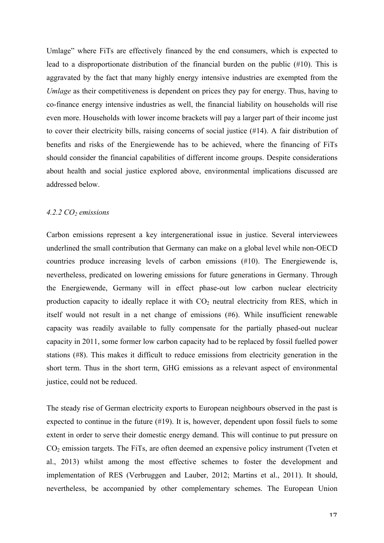Umlage" where FiTs are effectively financed by the end consumers, which is expected to lead to a disproportionate distribution of the financial burden on the public (#10). This is aggravated by the fact that many highly energy intensive industries are exempted from the *Umlage* as their competitiveness is dependent on prices they pay for energy. Thus, having to co-finance energy intensive industries as well, the financial liability on households will rise even more. Households with lower income brackets will pay a larger part of their income just to cover their electricity bills, raising concerns of social justice (#14). A fair distribution of benefits and risks of the Energiewende has to be achieved, where the financing of FiTs should consider the financial capabilities of different income groups. Despite considerations about health and social justice explored above, environmental implications discussed are addressed below.

### *4.2.2 CO2 emissions*

Carbon emissions represent a key intergenerational issue in justice. Several interviewees underlined the small contribution that Germany can make on a global level while non-OECD countries produce increasing levels of carbon emissions (#10). The Energiewende is, nevertheless, predicated on lowering emissions for future generations in Germany. Through the Energiewende, Germany will in effect phase-out low carbon nuclear electricity production capacity to ideally replace it with  $CO<sub>2</sub>$  neutral electricity from RES, which in itself would not result in a net change of emissions (#6). While insufficient renewable capacity was readily available to fully compensate for the partially phased-out nuclear capacity in 2011, some former low carbon capacity had to be replaced by fossil fuelled power stations (#8). This makes it difficult to reduce emissions from electricity generation in the short term. Thus in the short term, GHG emissions as a relevant aspect of environmental justice, could not be reduced.

The steady rise of German electricity exports to European neighbours observed in the past is expected to continue in the future (#19). It is, however, dependent upon fossil fuels to some extent in order to serve their domestic energy demand. This will continue to put pressure on  $CO<sub>2</sub>$  emission targets. The FiTs, are often deemed an expensive policy instrument (Tveten et al., 2013) whilst among the most effective schemes to foster the development and implementation of RES (Verbruggen and Lauber, 2012; Martins et al., 2011). It should, nevertheless, be accompanied by other complementary schemes. The European Union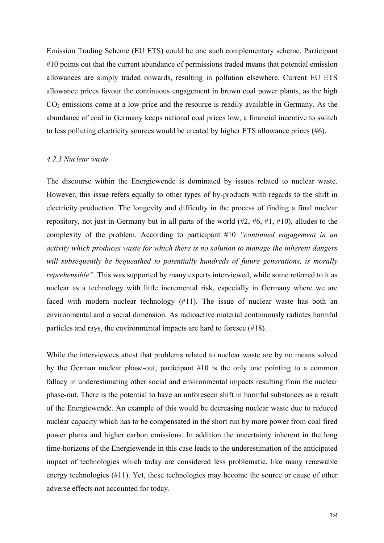Emission Trading Scheme (EU ETS) could be one such complementary scheme. Participant #10 points out that the current abundance of permissions traded means that potential emission allowances are simply traded onwards, resulting in pollution elsewhere. Current EU ETS allowance prices favour the continuous engagement in brown coal power plants, as the high  $CO<sub>2</sub>$  emissions come at a low price and the resource is readily available in Germany. As the abundance of coal in Germany keeps national coal prices low, a financial incentive to switch to less polluting electricity sources would be created by higher ETS allowance prices (#6).

## *4.2.3 Nuclear waste*

The discourse within the Energiewende is dominated by issues related to nuclear waste. However, this issue refers equally to other types of by-products with regards to the shift in electricity production. The longevity and difficulty in the process of finding a final nuclear repository, not just in Germany but in all parts of the world (#2, #6, #1, #10), alludes to the complexity of the problem. According to participant #10 *"continued engagement in an activity which produces waste for which there is no solution to manage the inherent dangers will subsequently be bequeathed to potentially hundreds of future generations, is morally reprehensible"*. This was supported by many experts interviewed, while some referred to it as nuclear as a technology with little incremental risk, especially in Germany where we are faced with modern nuclear technology (#11). The issue of nuclear waste has both an environmental and a social dimension. As radioactive material continuously radiates harmful particles and rays, the environmental impacts are hard to foresee (#18).

While the interviewees attest that problems related to nuclear waste are by no means solved by the German nuclear phase-out, participant #10 is the only one pointing to a common fallacy in underestimating other social and environmental impacts resulting from the nuclear phase-out. There is the potential to have an unforeseen shift in harmful substances as a result of the Energiewende. An example of this would be decreasing nuclear waste due to reduced nuclear capacity which has to be compensated in the short run by more power from coal fired power plants and higher carbon emissions. In addition the uncertainty inherent in the long time-horizons of the Energiewende in this case leads to the underestimation of the anticipated impact of technologies which today are considered less problematic, like many renewable energy technologies (#11). Yet, these technologies may become the source or cause of other adverse effects not accounted for today.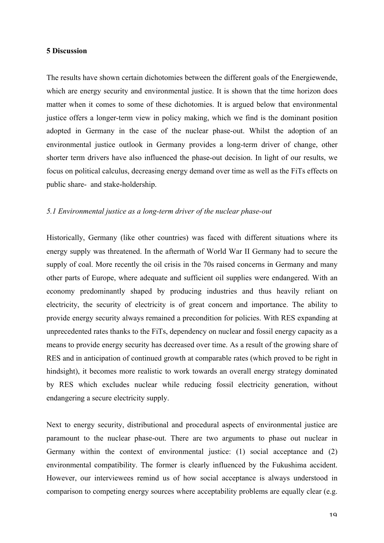### **5 Discussion**

The results have shown certain dichotomies between the different goals of the Energiewende, which are energy security and environmental justice. It is shown that the time horizon does matter when it comes to some of these dichotomies. It is argued below that environmental justice offers a longer-term view in policy making, which we find is the dominant position adopted in Germany in the case of the nuclear phase-out. Whilst the adoption of an environmental justice outlook in Germany provides a long-term driver of change, other shorter term drivers have also influenced the phase-out decision. In light of our results, we focus on political calculus, decreasing energy demand over time as well as the FiTs effects on public share- and stake-holdership.

### *5.1 Environmental justice as a long-term driver of the nuclear phase-out*

Historically, Germany (like other countries) was faced with different situations where its energy supply was threatened. In the aftermath of World War II Germany had to secure the supply of coal. More recently the oil crisis in the 70s raised concerns in Germany and many other parts of Europe, where adequate and sufficient oil supplies were endangered. With an economy predominantly shaped by producing industries and thus heavily reliant on electricity, the security of electricity is of great concern and importance. The ability to provide energy security always remained a precondition for policies. With RES expanding at unprecedented rates thanks to the FiTs, dependency on nuclear and fossil energy capacity as a means to provide energy security has decreased over time. As a result of the growing share of RES and in anticipation of continued growth at comparable rates (which proved to be right in hindsight), it becomes more realistic to work towards an overall energy strategy dominated by RES which excludes nuclear while reducing fossil electricity generation, without endangering a secure electricity supply.

Next to energy security, distributional and procedural aspects of environmental justice are paramount to the nuclear phase-out. There are two arguments to phase out nuclear in Germany within the context of environmental justice: (1) social acceptance and (2) environmental compatibility. The former is clearly influenced by the Fukushima accident. However, our interviewees remind us of how social acceptance is always understood in comparison to competing energy sources where acceptability problems are equally clear (e.g.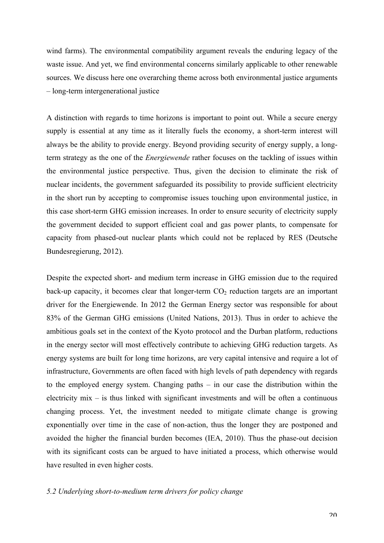wind farms). The environmental compatibility argument reveals the enduring legacy of the waste issue. And yet, we find environmental concerns similarly applicable to other renewable sources. We discuss here one overarching theme across both environmental justice arguments – long-term intergenerational justice

A distinction with regards to time horizons is important to point out. While a secure energy supply is essential at any time as it literally fuels the economy, a short-term interest will always be the ability to provide energy. Beyond providing security of energy supply, a longterm strategy as the one of the *Energiewende* rather focuses on the tackling of issues within the environmental justice perspective. Thus, given the decision to eliminate the risk of nuclear incidents, the government safeguarded its possibility to provide sufficient electricity in the short run by accepting to compromise issues touching upon environmental justice, in this case short-term GHG emission increases. In order to ensure security of electricity supply the government decided to support efficient coal and gas power plants, to compensate for capacity from phased-out nuclear plants which could not be replaced by RES (Deutsche Bundesregierung, 2012).

Despite the expected short- and medium term increase in GHG emission due to the required back-up capacity, it becomes clear that longer-term  $CO<sub>2</sub>$  reduction targets are an important driver for the Energiewende. In 2012 the German Energy sector was responsible for about 83% of the German GHG emissions (United Nations, 2013). Thus in order to achieve the ambitious goals set in the context of the Kyoto protocol and the Durban platform, reductions in the energy sector will most effectively contribute to achieving GHG reduction targets. As energy systems are built for long time horizons, are very capital intensive and require a lot of infrastructure, Governments are often faced with high levels of path dependency with regards to the employed energy system. Changing paths – in our case the distribution within the electricity mix – is thus linked with significant investments and will be often a continuous changing process. Yet, the investment needed to mitigate climate change is growing exponentially over time in the case of non-action, thus the longer they are postponed and avoided the higher the financial burden becomes (IEA, 2010). Thus the phase-out decision with its significant costs can be argued to have initiated a process, which otherwise would have resulted in even higher costs.

### *5.2 Underlying short-to-medium term drivers for policy change*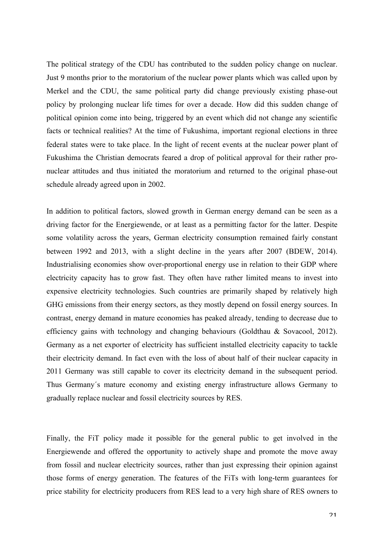The political strategy of the CDU has contributed to the sudden policy change on nuclear. Just 9 months prior to the moratorium of the nuclear power plants which was called upon by Merkel and the CDU, the same political party did change previously existing phase-out policy by prolonging nuclear life times for over a decade. How did this sudden change of political opinion come into being, triggered by an event which did not change any scientific facts or technical realities? At the time of Fukushima, important regional elections in three federal states were to take place. In the light of recent events at the nuclear power plant of Fukushima the Christian democrats feared a drop of political approval for their rather pronuclear attitudes and thus initiated the moratorium and returned to the original phase-out schedule already agreed upon in 2002.

In addition to political factors, slowed growth in German energy demand can be seen as a driving factor for the Energiewende, or at least as a permitting factor for the latter. Despite some volatility across the years, German electricity consumption remained fairly constant between 1992 and 2013, with a slight decline in the years after 2007 (BDEW, 2014). Industrialising economies show over-proportional energy use in relation to their GDP where electricity capacity has to grow fast. They often have rather limited means to invest into expensive electricity technologies. Such countries are primarily shaped by relatively high GHG emissions from their energy sectors, as they mostly depend on fossil energy sources. In contrast, energy demand in mature economies has peaked already, tending to decrease due to efficiency gains with technology and changing behaviours (Goldthau & Sovacool, 2012). Germany as a net exporter of electricity has sufficient installed electricity capacity to tackle their electricity demand. In fact even with the loss of about half of their nuclear capacity in 2011 Germany was still capable to cover its electricity demand in the subsequent period. Thus Germany´s mature economy and existing energy infrastructure allows Germany to gradually replace nuclear and fossil electricity sources by RES.

Finally, the FiT policy made it possible for the general public to get involved in the Energiewende and offered the opportunity to actively shape and promote the move away from fossil and nuclear electricity sources, rather than just expressing their opinion against those forms of energy generation. The features of the FiTs with long-term guarantees for price stability for electricity producers from RES lead to a very high share of RES owners to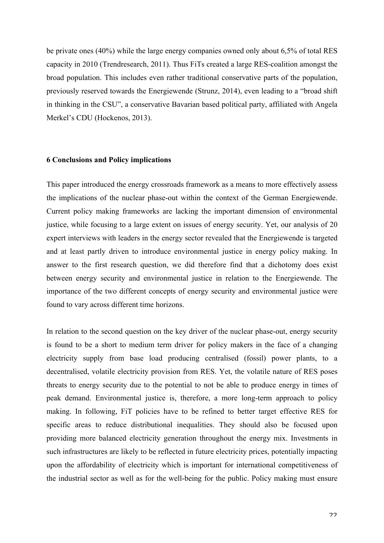be private ones (40%) while the large energy companies owned only about 6,5% of total RES capacity in 2010 (Trendresearch, 2011). Thus FiTs created a large RES-coalition amongst the broad population. This includes even rather traditional conservative parts of the population, previously reserved towards the Energiewende (Strunz, 2014), even leading to a "broad shift in thinking in the CSU", a conservative Bavarian based political party, affiliated with Angela Merkel's CDU (Hockenos, 2013).

### **6 Conclusions and Policy implications**

This paper introduced the energy crossroads framework as a means to more effectively assess the implications of the nuclear phase-out within the context of the German Energiewende. Current policy making frameworks are lacking the important dimension of environmental justice, while focusing to a large extent on issues of energy security. Yet, our analysis of 20 expert interviews with leaders in the energy sector revealed that the Energiewende is targeted and at least partly driven to introduce environmental justice in energy policy making. In answer to the first research question, we did therefore find that a dichotomy does exist between energy security and environmental justice in relation to the Energiewende. The importance of the two different concepts of energy security and environmental justice were found to vary across different time horizons.

In relation to the second question on the key driver of the nuclear phase-out, energy security is found to be a short to medium term driver for policy makers in the face of a changing electricity supply from base load producing centralised (fossil) power plants, to a decentralised, volatile electricity provision from RES. Yet, the volatile nature of RES poses threats to energy security due to the potential to not be able to produce energy in times of peak demand. Environmental justice is, therefore, a more long-term approach to policy making. In following, FiT policies have to be refined to better target effective RES for specific areas to reduce distributional inequalities. They should also be focused upon providing more balanced electricity generation throughout the energy mix. Investments in such infrastructures are likely to be reflected in future electricity prices, potentially impacting upon the affordability of electricity which is important for international competitiveness of the industrial sector as well as for the well-being for the public. Policy making must ensure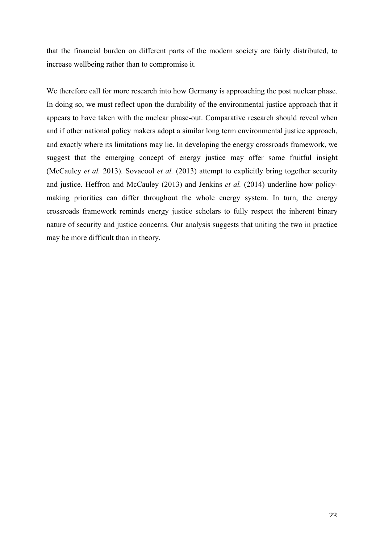that the financial burden on different parts of the modern society are fairly distributed, to increase wellbeing rather than to compromise it.

We therefore call for more research into how Germany is approaching the post nuclear phase. In doing so, we must reflect upon the durability of the environmental justice approach that it appears to have taken with the nuclear phase-out. Comparative research should reveal when and if other national policy makers adopt a similar long term environmental justice approach, and exactly where its limitations may lie. In developing the energy crossroads framework, we suggest that the emerging concept of energy justice may offer some fruitful insight (McCauley *et al.* 2013). Sovacool *et al.* (2013) attempt to explicitly bring together security and justice. Heffron and McCauley (2013) and Jenkins *et al.* (2014) underline how policymaking priorities can differ throughout the whole energy system. In turn, the energy crossroads framework reminds energy justice scholars to fully respect the inherent binary nature of security and justice concerns. Our analysis suggests that uniting the two in practice may be more difficult than in theory.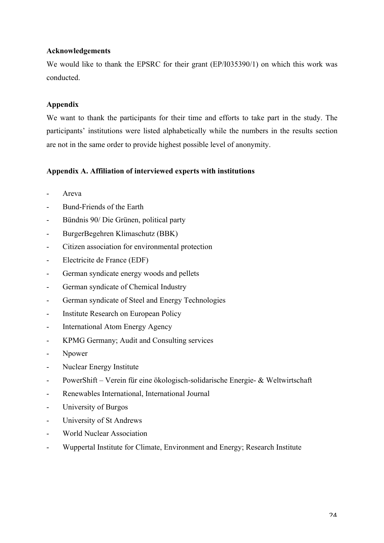# **Acknowledgements**

We would like to thank the EPSRC for their grant (EP/I035390/1) on which this work was conducted.

# **Appendix**

We want to thank the participants for their time and efforts to take part in the study. The participants' institutions were listed alphabetically while the numbers in the results section are not in the same order to provide highest possible level of anonymity.

# **Appendix A. Affiliation of interviewed experts with institutions**

- Areva
- Bund-Friends of the Earth
- Bündnis 90/ Die Grünen, political party
- BurgerBegehren Klimaschutz (BBK)
- Citizen association for environmental protection
- Electricite de France (EDF)
- German syndicate energy woods and pellets
- German syndicate of Chemical Industry
- German syndicate of Steel and Energy Technologies
- Institute Research on European Policy
- International Atom Energy Agency
- KPMG Germany; Audit and Consulting services
- Npower
- Nuclear Energy Institute
- PowerShift Verein für eine ökologisch-solidarische Energie- & Weltwirtschaft
- Renewables International, International Journal
- University of Burgos
- University of St Andrews
- World Nuclear Association
- Wuppertal Institute for Climate, Environment and Energy; Research Institute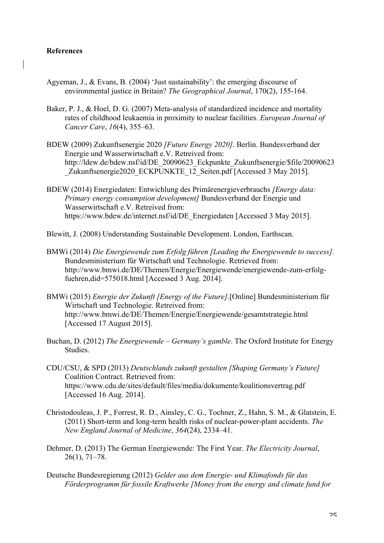# **References**

- Agyeman, J., & Evans, B. (2004) 'Just sustainability': the emerging discourse of environmental justice in Britain? *The Geographical Journal*, 170(2), 155-164.
- Baker, P. J., & Hoel, D. G. (2007) Meta-analysis of standardized incidence and mortality rates of childhood leukaemia in proximity to nuclear facilities. *European Journal of Cancer Care*, *16*(4), 355–63.
- BDEW (2009) Zukunftsenergie 2020 *[Future Energy 2020]*. Berlin. Bundesverband der Energie und Wasserwirtschaft e.V. Retreived from: http://ldew.de/bdew.nsf/id/DE\_20090623\_Eckpunkte\_Zukunftsenergie/\$file/20090623 Zukunftsenergie2020\_ECKPUNKTE\_12\_Seiten.pdf [Accessed 3 May 2015].
- BDEW (2014) Energiedaten: Entwichlung des Primärenergieverbrauchs *[Energy data: Primary energy consumption development]* Bundesverband der Energie und Wasserwirtschaft e.V. Retreived from: https://www.bdew.de/internet.nsf/id/DE\_Energiedaten [Accessed 3 May 2015].
- Blewitt, J. (2008) Understanding Sustainable Development. London, Earthscan.
- BMWi (2014) *Die Energiewende zum Erfolg führen [Leading the Energiewende to success].*  Bundesministerium für Wirtschaft und Technologie. Retrieved from: http://www.bmwi.de/DE/Themen/Energie/Energiewende/energiewende-zum-erfolgfuehren,did=575018.html [Accessed 3 Aug. 2014].
- BMWi (2015) *Energie der Zukunft [Energy of the Future]*.[Online] Bundesministerium für Wirtschaft und Technologie. Retreived from: http://www.bmwi.de/DE/Themen/Energie/Energiewende/gesamtstrategie.html [Accessed 17 August 2015].
- Buchan, D. (2012) *The Energiewende – Germany's gamble*. The Oxford Institute for Energy Studies.
- CDU/CSU, & SPD (2013) *Deutschlands zukunft gestalten [Shaping Germany's Future]* Coalition Contract. Retrieved from: https://www.cdu.de/sites/default/files/media/dokumente/koalitionsvertrag.pdf [Accessed 16 Aug. 2014].
- Christodouleas, J. P., Forrest, R. D., Ainsley, C. G., Tochner, Z., Hahn, S. M., & Glatstein, E. (2011) Short-term and long-term health risks of nuclear-power-plant accidents. *The New England Journal of Medicine*, *364*(24), 2334–41.
- Dehmer, D. (2013) The German Energiewende: The First Year. *The Electricity Journal*, 26(1), 71–78.
- Deutsche Bundesregierung (2012) *Gelder aus dem Energie- und Klimafonds für das Förderprogramm für fossile Kraftwerke [Money from the energy and climate fund for*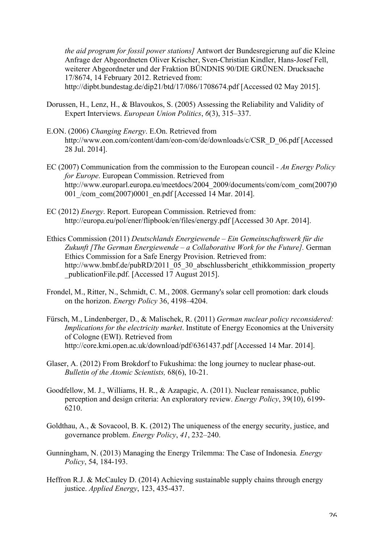*the aid program for fossil power stations]* Antwort der Bundesregierung auf die Kleine Anfrage der Abgeordneten Oliver Krischer, Sven-Christian Kindler, Hans-Josef Fell, weiterer Abgeordneter und der Fraktion BÜNDNIS 90/DIE GRÜNEN. Drucksache 17/8674, 14 February 2012. Retrieved from: http://dipbt.bundestag.de/dip21/btd/17/086/1708674.pdf [Accessed 02 May 2015].

- Dorussen, H., Lenz, H., & Blavoukos, S. (2005) Assessing the Reliability and Validity of Expert Interviews. *European Union Politics*, *6*(3), 315–337.
- E.ON. (2006) *Changing Energy*. E.On. Retrieved from http://www.eon.com/content/dam/eon-com/de/downloads/c/CSR\_D\_06.pdf [Accessed 28 Jul. 2014].
- EC (2007) Communication from the commission to the European council *- An Energy Policy for Europe*. European Commission. Retrieved from http://www.europarl.europa.eu/meetdocs/2004\_2009/documents/com/com\_com(2007)0 001 /com\_com(2007)0001\_en.pdf [Accessed 14 Mar. 2014].
- EC (2012) *Energy*. Report. European Commission. Retrieved from: http://europa.eu/pol/ener/flipbook/en/files/energy.pdf [Accessed 30 Apr. 2014].
- Ethics Commission (2011) *Deutschlands Energiewende – Ein Gemeinschaftswerk für die Zukunft [The German Energiewende – a Collaborative Work for the Future].* German Ethics Commission for a Safe Energy Provision. Retrieved from: http://www.bmbf.de/pubRD/2011\_05\_30\_abschlussbericht\_ethikkommission\_property \_publicationFile.pdf. [Accessed 17 August 2015].
- Frondel, M., Ritter, N., Schmidt, C. M., 2008. Germany's solar cell promotion: dark clouds on the horizon. *Energy Policy* 36, 4198–4204.
- Fürsch, M., Lindenberger, D., & Malischek, R. (2011) *German nuclear policy reconsidered: Implications for the electricity market*. Institute of Energy Economics at the University of Cologne (EWI). Retrieved from http://core.kmi.open.ac.uk/download/pdf/6361437.pdf [Accessed 14 Mar. 2014].
- Glaser, A. (2012) From Brokdorf to Fukushima: the long journey to nuclear phase-out. *Bulletin of the Atomic Scientists,* 68(6), 10-21.
- Goodfellow, M. J., Williams, H. R., & Azapagic, A. (2011). Nuclear renaissance, public perception and design criteria: An exploratory review. *Energy Policy*, 39(10), 6199- 6210.
- Goldthau, A., & Sovacool, B. K. (2012) The uniqueness of the energy security, justice, and governance problem. *Energy Policy*, *41*, 232–240.
- Gunningham, N. (2013) Managing the Energy Trilemma: The Case of Indonesia*. Energy Policy*, 54, 184-193.
- Heffron R.J. & McCauley D. (2014) Achieving sustainable supply chains through energy justice. *Applied Energy*, 123, 435-437.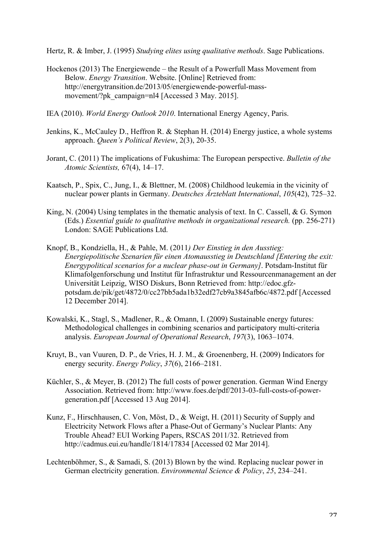Hertz, R. & Imber, J. (1995) *Studying elites using qualitative methods*. Sage Publications.

- Hockenos (2013) The Energiewende the Result of a Powerfull Mass Movement from Below. *Energy Transition*. Website. [Online] Retrieved from: http://energytransition.de/2013/05/energiewende-powerful-massmovement/?pk\_campaign=nl4 [Accessed 3 May. 2015].
- IEA (2010). *World Energy Outlook 2010*. International Energy Agency, Paris.
- Jenkins, K., McCauley D., Heffron R. & Stephan H. (2014) Energy justice, a whole systems approach. *Queen's Political Review*, 2(3), 20-35.
- Jorant, C. (2011) The implications of Fukushima: The European perspective. *Bulletin of the Atomic Scientists,* 67(4), 14–17.
- Kaatsch, P., Spix, C., Jung, I., & Blettner, M. (2008) Childhood leukemia in the vicinity of nuclear power plants in Germany. *Deutsches Ärzteblatt International*, *105*(42), 725–32.
- King, N. (2004) Using templates in the thematic analysis of text. In C. Cassell, & G. Symon (Eds.) *Essential guide to qualitative methods in organizational research.* (pp. 256-271) London: SAGE Publications Ltd.
- Knopf, B., Kondziella, H., & Pahle, M. (2011*) Der Einstieg in den Ausstieg: Energiepolitische Szenarien für einen Atomausstieg in Deutschland [Entering the exit: Energypolitical scenarios for a nuclear phase-out in Germany]*. Potsdam-Institut für Klimafolgenforschung und Institut für Infrastruktur und Ressourcenmanagement an der Universität Leipzig, WISO Diskurs, Bonn Retrieved from: http://edoc.gfzpotsdam.de/pik/get/4872/0/cc27bb5ada1b32edf27cb9a3845afb6c/4872.pdf [Accessed 12 December 2014].
- Kowalski, K., Stagl, S., Madlener, R., & Omann, I. (2009) Sustainable energy futures: Methodological challenges in combining scenarios and participatory multi-criteria analysis. *European Journal of Operational Research*, *197*(3), 1063–1074.
- Kruyt, B., van Vuuren, D. P., de Vries, H. J. M., & Groenenberg, H. (2009) Indicators for energy security. *Energy Policy*, *37*(6), 2166–2181.
- Küchler, S., & Meyer, B. (2012) The full costs of power generation. German Wind Energy Association. Retrieved from: http://www.foes.de/pdf/2013-03-full-costs-of-powergeneration.pdf [Accessed 13 Aug 2014].
- Kunz, F., Hirschhausen, C. Von, Möst, D., & Weigt, H. (2011) Security of Supply and Electricity Network Flows after a Phase-Out of Germany's Nuclear Plants: Any Trouble Ahead? EUI Working Papers, RSCAS 2011/32. Retrieved from http://cadmus.eui.eu/handle/1814/17834 [Accessed 02 Mar 2014].
- Lechtenböhmer, S., & Samadi, S. (2013) Blown by the wind. Replacing nuclear power in German electricity generation. *Environmental Science & Policy*, *25*, 234–241.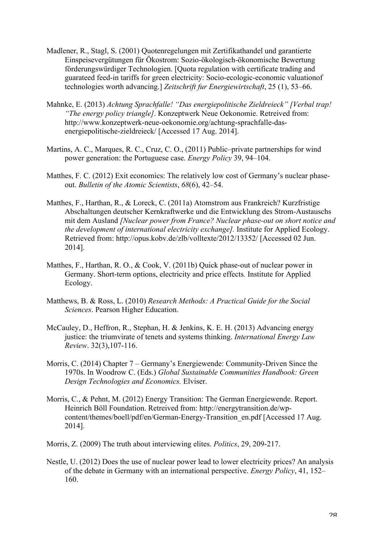- Madlener, R., Stagl, S. (2001) Quotenregelungen mit Zertifikathandel und garantierte Einspeisevergütungen für Ökostrom: Sozio-ökologisch-ökonomische Bewertung förderungswürdiger Technologien. [Quota regulation with certificate trading and guarateed feed-in tariffs for green electricity: Socio-ecologic-economic valuationof technologies worth advancing.] *Zeitschrift fur Energiewirtschaft*, 25 (1), 53–66.
- Mahnke, E. (2013) *Achtung Sprachfalle! "Das energiepolitische Zieldreieck" [Verbal trap! "The energy policy triangle]*. Konzeptwerk Neue Oekonomie. Retreived from: http://www.konzeptwerk-neue-oekonomie.org/achtung-sprachfalle-dasenergiepolitische-zieldreieck/ [Accessed 17 Aug. 2014].
- Martins, A. C., Marques, R. C., Cruz, C. O., (2011) Public–private partnerships for wind power generation: the Portuguese case. *Energy Policy* 39, 94–104.
- Matthes, F. C. (2012) Exit economics: The relatively low cost of Germany's nuclear phaseout. *Bulletin of the Atomic Scientists*, *68*(6), 42–54.
- Matthes, F., Harthan, R., & Loreck, C. (2011a) Atomstrom aus Frankreich? Kurzfristige Abschaltungen deutscher Kernkraftwerke und die Entwicklung des Strom-Austauschs mit dem Ausland *[Nuclear power from France? Nuclear phase-out on short notice and the development of international electricity exchange].* Institute for Applied Ecology. Retrieved from: http://opus.kobv.de/zlb/volltexte/2012/13352/ [Accessed 02 Jun. 2014].
- Matthes, F., Harthan, R. O., & Cook, V. (2011b) Quick phase-out of nuclear power in Germany. Short-term options, electricity and price effects*.* Institute for Applied Ecology.
- Matthews, B. & Ross, L. (2010) *Research Methods: A Practical Guide for the Social Sciences*. Pearson Higher Education.
- McCauley, D., Heffron, R., Stephan, H. & Jenkins, K. E. H. (2013) Advancing energy justice: the triumvirate of tenets and systems thinking. *International Energy Law Review*. 32(3),107-116.
- Morris, C. (2014) Chapter 7 Germany's Energiewende: Community-Driven Since the 1970s. In Woodrow C. (Eds.) *Global Sustainable Communities Handbook: Green Design Technologies and Economics.* Elviser.
- Morris, C., & Pehnt, M. (2012) Energy Transition: The German Energiewende. Report. Heinrich Böll Foundation. Retreived from: http://energytransition.de/wpcontent/themes/boell/pdf/en/German-Energy-Transition\_en.pdf [Accessed 17 Aug. 2014].
- Morris, Z. (2009) The truth about interviewing elites. *Politics*, 29, 209-217.
- Nestle, U. (2012) Does the use of nuclear power lead to lower electricity prices? An analysis of the debate in Germany with an international perspective. *Energy Policy*, 41, 152– 160.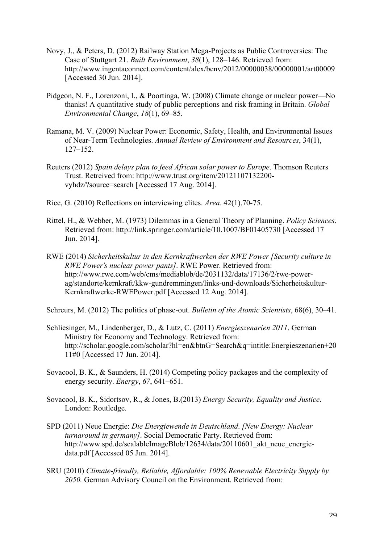- Novy, J., & Peters, D. (2012) Railway Station Mega-Projects as Public Controversies: The Case of Stuttgart 21. *Built Environment*, *38*(1), 128–146. Retrieved from: http://www.ingentaconnect.com/content/alex/benv/2012/00000038/00000001/art00009 [Accessed 30 Jun. 2014].
- Pidgeon, N. F., Lorenzoni, I., & Poortinga, W. (2008) Climate change or nuclear power—No thanks! A quantitative study of public perceptions and risk framing in Britain. *Global Environmental Change*, *18*(1), 69–85.
- Ramana, M. V. (2009) Nuclear Power: Economic, Safety, Health, and Environmental Issues of Near-Term Technologies. *Annual Review of Environment and Resources*, 34(1), 127–152.
- Reuters (2012) *Spain delays plan to feed African solar power to Europe*. Thomson Reuters Trust. Retreived from: http://www.trust.org/item/20121107132200 vyhdz/?source=search [Accessed 17 Aug. 2014].
- Rice, G. (2010) Reflections on interviewing elites. *Area*. 42(1),70-75.
- Rittel, H., & Webber, M. (1973) Dilemmas in a General Theory of Planning. *Policy Sciences*. Retrieved from: http://link.springer.com/article/10.1007/BF01405730 [Accessed 17 Jun. 2014].
- RWE (2014) *Sicherheitskultur in den Kernkraftwerken der RWE Power [Security culture in RWE Power's nuclear power pants]*. RWE Power. Retrieved from: http://www.rwe.com/web/cms/mediablob/de/2031132/data/17136/2/rwe-powerag/standorte/kernkraft/kkw-gundremmingen/links-und-downloads/Sicherheitskultur-Kernkraftwerke-RWEPower.pdf [Accessed 12 Aug. 2014].

Schreurs, M. (2012) The politics of phase-out. *Bulletin of the Atomic Scientists*, 68(6), 30–41.

- Schliesinger, M., Lindenberger, D., & Lutz, C. (2011) *Energieszenarien 2011*. German Ministry for Economy and Technology. Retrieved from: http://scholar.google.com/scholar?hl=en&btnG=Search&q=intitle:Energieszenarien+20 11#0 [Accessed 17 Jun. 2014].
- Sovacool, B. K., & Saunders, H. (2014) Competing policy packages and the complexity of energy security. *Energy*, *67*, 641–651.
- Sovacool, B. K., Sidortsov, R., & Jones, B.(2013) *Energy Security, Equality and Justice*. London: Routledge.
- SPD (2011) Neue Energie: *Die Energiewende in Deutschland*. *[New Energy: Nuclear turnaround in germany]*. Social Democratic Party. Retrieved from: http://www.spd.de/scalableImageBlob/12634/data/20110601 akt\_neue\_energiedata.pdf [Accessed 05 Jun. 2014].
- SRU (2010) *Climate-friendly, Reliable, Affordable: 100% Renewable Electricity Supply by 2050.* German Advisory Council on the Environment. Retrieved from: